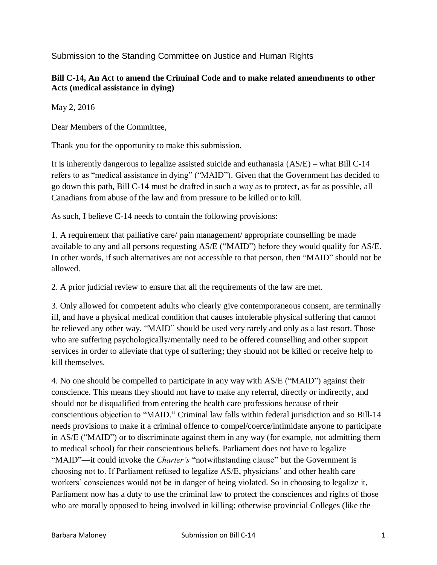Submission to the Standing Committee on Justice and Human Rights

## **Bill C-14, An Act to amend the Criminal Code and to make related amendments to other Acts (medical assistance in dying)**

May 2, 2016

Dear Members of the Committee,

Thank you for the opportunity to make this submission.

It is inherently dangerous to legalize assisted suicide and euthanasia (AS/E) – what Bill C-14 refers to as "medical assistance in dying" ("MAID"). Given that the Government has decided to go down this path, Bill C-14 must be drafted in such a way as to protect, as far as possible, all Canadians from abuse of the law and from pressure to be killed or to kill.

As such, I believe C-14 needs to contain the following provisions:

1. A requirement that palliative care/ pain management/ appropriate counselling be made available to any and all persons requesting AS/E ("MAID") before they would qualify for AS/E. In other words, if such alternatives are not accessible to that person, then "MAID" should not be allowed.

2. A prior judicial review to ensure that all the requirements of the law are met.

3. Only allowed for competent adults who clearly give contemporaneous consent, are terminally ill, and have a physical medical condition that causes intolerable physical suffering that cannot be relieved any other way. "MAID" should be used very rarely and only as a last resort. Those who are suffering psychologically/mentally need to be offered counselling and other support services in order to alleviate that type of suffering; they should not be killed or receive help to kill themselves.

4. No one should be compelled to participate in any way with AS/E ("MAID") against their conscience. This means they should not have to make any referral, directly or indirectly, and should not be disqualified from entering the health care professions because of their conscientious objection to "MAID." Criminal law falls within federal jurisdiction and so Bill-14 needs provisions to make it a criminal offence to compel/coerce/intimidate anyone to participate in AS/E ("MAID") or to discriminate against them in any way (for example, not admitting them to medical school) for their conscientious beliefs. Parliament does not have to legalize "MAID"—it could invoke the *Charter's* "notwithstanding clause" but the Government is choosing not to. If Parliament refused to legalize AS/E, physicians' and other health care workers' consciences would not be in danger of being violated. So in choosing to legalize it, Parliament now has a duty to use the criminal law to protect the consciences and rights of those who are morally opposed to being involved in killing; otherwise provincial Colleges (like the